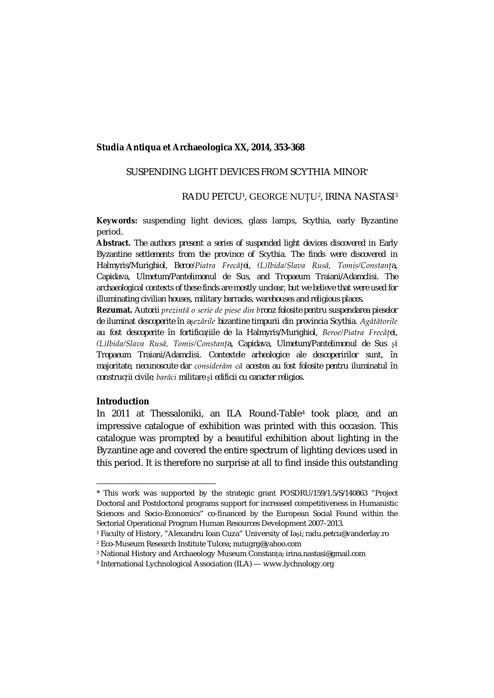#### **Studia Antiqua et Archaeologica XX, 2014, 353-368**

## SUSPENDING LIGHT DEVICES FROM SCYTHIA MINOR\*

## RADU PETCU<sup>[1](#page-0-0)</sup>, GEORGE NUTU<sup>[2](#page-0-1)</sup>, IRINA NASTASI<sup>[3](#page-0-2)</sup>

**Keywords:** suspending light devices, glass lamps, Scythia, early Byzantine period.

**Abstract.** *The authors present a series of suspended light devices discovered in Early Byzantine settlements from the province of Scythia. The finds were discovered in Halmyris/Murighiol, Beroe/Piatra Frecăței, (L)Ibida/Slava Rusă, Tomis/Constanța, Capidava, Ulmetum/Pantelimonul de Sus, and Tropaeum Traiani/Adamclisi. The archaeological contexts of these finds are mostly unclear, but we believe that were used for illuminating civilian houses, military barracks, warehouses and religious places.*

**Rezumat.** *Autorii prezintă o serie de piese din bronz folosite pentru suspendarea pieselor de iluminat descoperite în așezările bizantine timpurii din provincia Scythia. Agătătorile au fost descoperite în fortificațiile de la Halmyris/Murighiol, Beroe/Piatra Frecăței, (L)Ibida/Slava Rusă, Tomis/Constanța, Capidava, Ulmetum/Pantelimonul de Sus și Tropaeum Traiani/Adamclisi. Contextele arheologice ale descoperirilor sunt, în majoritate, necunoscute dar considerăm că acestea au fost folosite pentru iluminatul în construcții civile, barăci militare și edificii cu caracter religios.*

### **Introduction**

 $\overline{\phantom{a}}$ 

In 2011 at Thessaloniki, an ILA Round-Table[4](#page-0-3) took place, and an impressive catalogue of exhibition was printed with this occasion. This catalogue was prompted by a beautiful exhibition about lighting in the Byzantine age and covered the entire spectrum of lighting devices used in this period. It is therefore no surprise at all to find inside this outstanding

<span id="page-0-0"></span><sup>\*</sup> This work was supported by the strategic grant POSDRU/159/1.5/S/140863 "Project Doctoral and Postdoctoral programs support for increased competitiveness in Humanistic Sciences and Socio-Economics" co-financed by the European Social Found within the Sectorial Operational Program Human Resources Development 2007–2013.

<span id="page-0-1"></span><sup>1</sup> Faculty of History, "Alexandru Ioan Cuza" University of Iași; radu.petcu@vanderlay.ro <sup>2</sup> Eco-Museum Research Institute Tulcea; nutugrg@yahoo.com

<span id="page-0-2"></span><sup>3</sup> National History and Archaeology Museum Constanța; irina.nastasi@gmail.com

<span id="page-0-3"></span><sup>4</sup> International Lychnological Association (ILA) — www.lychnology.org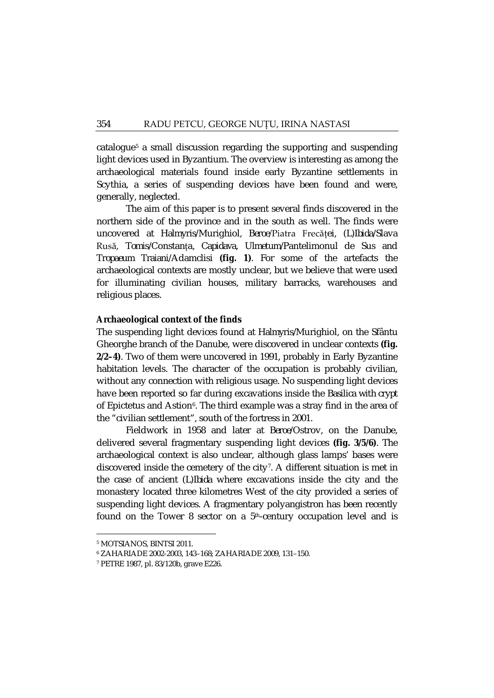catalogue[5](#page-1-0) a small discussion regarding the supporting and suspending light devices used in Byzantium. The overview is interesting as among the archaeological materials found inside early Byzantine settlements in Scythia, a series of suspending devices have been found and were, generally, neglected.

The aim of this paper is to present several finds discovered in the northern side of the province and in the south as well. The finds were uncovered at *Halmyris*/Murighiol, *Beroe*/Piatra Frecăței, (*L*)*Ibida*/Slava Rusă, *Tomis*/Constanța, *Capidava*, *Ulmetum*/Pantelimonul de Sus and *Tropaeum Traiani*/Adamclisi **(fig. 1)**. For some of the artefacts the archaeological contexts are mostly unclear, but we believe that were used for illuminating civilian houses, military barracks, warehouses and religious places.

#### **Archaeological context of the finds**

The suspending light devices found at *Halmyris/*Murighiol, on the Sfântu Gheorghe branch of the Danube, were discovered in unclear contexts **(fig. 2/2–4)**. Two of them were uncovered in 1991, probably in Early Byzantine habitation levels. The character of the occupation is probably civilian, without any connection with religious usage. No suspending light devices have been reported so far during excavations inside the *Basilica with crypt* of Epictetus and Astion<sup>6</sup>. The third example was a stray find in the area of the "civilian settlement", south of the fortress in 2001.

Fieldwork in 1958 and later at *Beroe*/Ostrov, on the Danube, delivered several fragmentary suspending light devices **(fig. 3/5/6)**. The archaeological context is also unclear, although glass lamps' bases were discovered inside the cemetery of the city<sup>[7](#page-1-2)</sup>. A different situation is met in the case of ancient (*L*)*Ibida* where excavations inside the city and the monastery located three kilometres West of the city provided a series of suspending light devices. A fragmentary polyangistron has been recently found on the Tower 8 sector on a  $5<sup>th</sup>$ -century occupation level and is

<span id="page-1-1"></span><span id="page-1-0"></span><sup>5</sup> MOTSIANOS, BINTSI 2011.

<sup>6</sup> ZAHARIADE 2002-2003, 143–168; ZAHARIADE 2009, 131–150.

<span id="page-1-2"></span><sup>7</sup> PETRE 1987, pl. 83/120b, grave E226.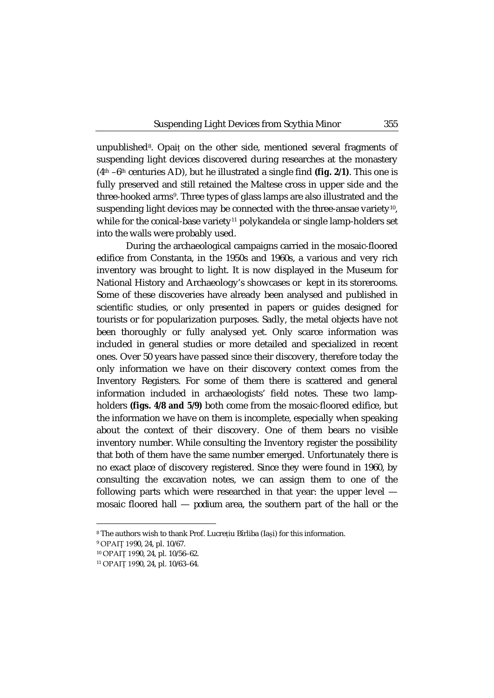unpublished<sup>8</sup>. Opaiț on the other side, mentioned several fragments of suspending light devices discovered during researches at the monastery (4th –6th centuries AD), but he illustrated a single find **(fig. 2/1)**. This one is fully preserved and still retained the Maltese cross in upper side and the three-hooked arms<sup>[9](#page-2-1)</sup>. Three types of glass lamps are also illustrated and the suspending light devices may be connected with the three-ansae variety<sup>[10](#page-2-2)</sup>, while for the conical-base variety<sup>[11](#page-2-3)</sup> polykandela or single lamp-holders set into the walls were probably used.

During the archaeological campaigns carried in the mosaic-floored edifice from Constanta, in the 1950s and 1960s, a various and very rich inventory was brought to light. It is now displayed in the Museum for National History and Archaeology's showcases or kept in its storerooms. Some of these discoveries have already been analysed and published in scientific studies, or only presented in papers or guides designed for tourists or for popularization purposes. Sadly, the metal objects have not been thoroughly or fully analysed yet. Only scarce information was included in general studies or more detailed and specialized in recent ones. Over 50 years have passed since their discovery, therefore today the only information we have on their discovery context comes from the Inventory Registers. For some of them there is scattered and general information included in archaeologists' field notes. These two lampholders **(figs. 4/8 and 5/9)** both come from the mosaic-floored edifice, but the information we have on them is incomplete, especially when speaking about the context of their discovery. One of them bears no visible inventory number. While consulting the Inventory register the possibility that both of them have the same number emerged. Unfortunately there is no exact place of discovery registered. Since they were found in 1960, by consulting the excavation notes, we can assign them to one of the following parts which were researched in that year: the upper level mosaic floored hall — *podium* area, the southern part of the hall or the

<span id="page-2-0"></span><sup>8</sup> The authors wish to thank Prof. Lucrețiu Bîrliba (Iași) for this information.

<span id="page-2-2"></span><span id="page-2-1"></span><sup>9</sup> OPAIȚ 1990, 24, pl. 10/67.

<sup>10</sup> OPAIȚ 1990, 24, pl. 10/56–62.

<span id="page-2-3"></span><sup>11</sup> OPAIȚ 1990, 24, pl. 10/63–64.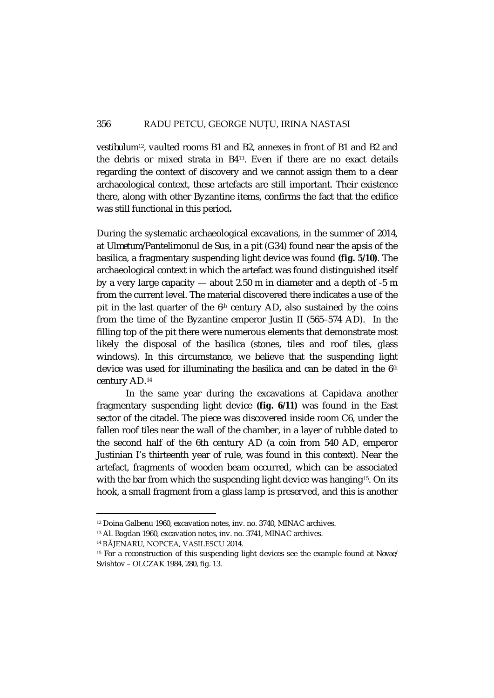*vestibulum*[12](#page-3-0)*,* vaulted rooms B1 and B2, annexes in front of B1 and B2 and the debris or mixed strata in B4[13](#page-3-1). Even if there are no exact details regarding the context of discovery and we cannot assign them to a clear archaeological context, these artefacts are still important. Their existence there, along with other Byzantine items, confirms the fact that the edifice was still functional in this period**.**

During the systematic archaeological excavations, in the summer of 2014, at *Ulmetum*/Pantelimonul de Sus, in a pit (G34) found near the apsis of the basilica, a fragmentary suspending light device was found **(fig. 5/10)**. The archaeological context in which the artefact was found distinguished itself by a very large capacity — about 2.50 m in diameter and a depth of -5 m from the current level. The material discovered there indicates a use of the pit in the last quarter of the  $6<sup>th</sup>$  century AD, also sustained by the coins from the time of the Byzantine emperor Justin II (565–574 AD). In the filling top of the pit there were numerous elements that demonstrate most likely the disposal of the basilica (stones, tiles and roof tiles, glass windows). In this circumstance, we believe that the suspending light device was used for illuminating the basilica and can be dated in the  $6<sup>th</sup>$ century AD.[14](#page-3-2)

In the same year during the excavations at Capidava another fragmentary suspending light device **(fig. 6/11)** was found in the East sector of the citadel. The piece was discovered inside room C6, under the fallen roof tiles near the wall of the chamber, in a layer of rubble dated to the second half of the 6th century AD (a coin from 540 AD, emperor Justinian I's thirteenth year of rule, was found in this context). Near the artefact, fragments of wooden beam occurred, which can be associated with the bar from which the suspending light device was hanging<sup>[15](#page-3-3)</sup>. On its hook, a small fragment from a glass lamp is preserved, and this is another

<span id="page-3-1"></span><span id="page-3-0"></span><sup>12</sup> Doina Galbenu 1960, excavation notes, inv. no. 3740, MINAC archives.

<sup>13</sup> Al. Bogdan 1960, excavation notes, inv. no. 3741, MINAC archives.

<sup>14</sup> BĂJENARU, NOPCEA, VASILESCU 2014.

<span id="page-3-3"></span><span id="page-3-2"></span><sup>15</sup> For a reconstruction of this suspending light devices see the example found at *Novae*/ Svishtov – OLCZAK 1984, 280, fig. 13.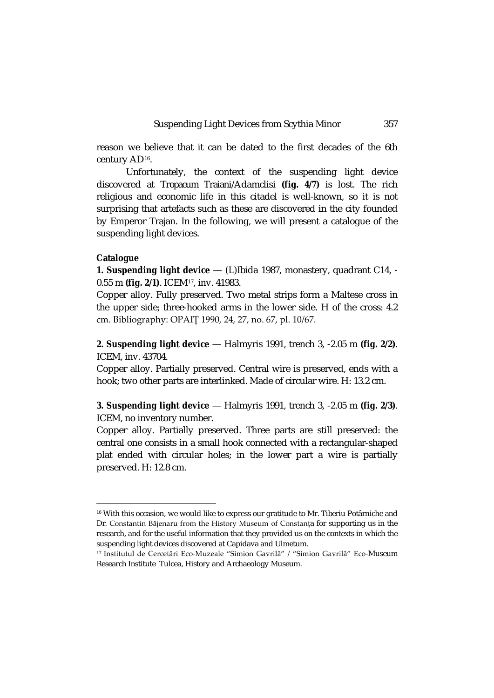reason we believe that it can be dated to the first decades of the 6th century AD[16](#page-4-0).

Unfortunately, the context of the suspending light device discovered at *Tropaeum Traiani*/Adamclisi **(fig. 4/7)** is lost. The rich religious and economic life in this citadel is well-known, so it is not surprising that artefacts such as these are discovered in the city founded by Emperor Trajan. In the following, we will present a catalogue of the suspending light devices.

## **Catalogue**

 $\overline{\phantom{a}}$ 

**1. Suspending light device** — (L)Ibida 1987, monastery, quadrant C14, - 0.55 m **(fig. 2/1)**. ICEM[17](#page-4-1), inv. 41983.

Copper alloy. Fully preserved. Two metal strips form a Maltese cross in the upper side; three-hooked arms in the lower side. H of the cross: 4.2 cm. Bibliography: OPAIȚ 1990, 24, 27, no. 67, pl. 10/67.

**2. Suspending light device** — Halmyris 1991, trench 3, -2.05 m **(fig. 2/2)**. ICEM, inv. 43704.

Copper alloy. Partially preserved. Central wire is preserved, ends with a hook; two other parts are interlinked. Made of circular wire. H: 13.2 cm.

**3. Suspending light device** — Halmyris 1991, trench 3, -2.05 m **(fig. 2/3)**. ICEM, no inventory number.

Copper alloy. Partially preserved. Three parts are still preserved: the central one consists in a small hook connected with a rectangular-shaped plat ended with circular holes; in the lower part a wire is partially preserved. H: 12.8 cm.

<span id="page-4-0"></span><sup>&</sup>lt;sup>16</sup> With this occasion, we would like to express our gratitude to Mr. Tiberiu Potârniche and Dr. Constantin Băjenaru from the History Museum of Constanța for supporting us in the research, and for the useful information that they provided us on the contexts in which the suspending light devices discovered at Capidava and Ulmetum.

<span id="page-4-1"></span><sup>17</sup> Institutul de Cercetări Eco-Muzeale "Simion Gavrilă" / "Simion Gavrilă" Eco-Museum Research Institute Tulcea, History and Archaeology Museum.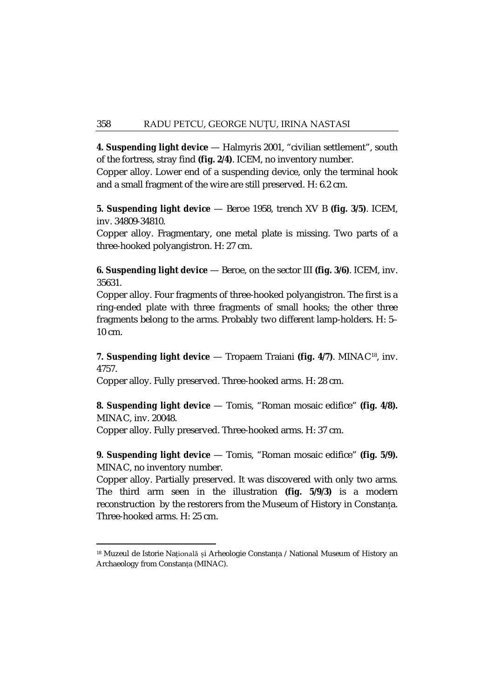**4. Suspending light device** — Halmyris 2001, "civilian settlement", south of the fortress, stray find **(fig. 2/4)**. ICEM, no inventory number.

Copper alloy. Lower end of a suspending device, only the terminal hook and a small fragment of the wire are still preserved. H: 6.2 cm.

**5. Suspending light device** — Beroe 1958, trench XV B **(fig. 3/5)**. ICEM, inv. 34809-34810.

Copper alloy. Fragmentary, one metal plate is missing. Two parts of a three-hooked polyangistron. H: 27 cm.

**6. Suspending light device** — Beroe, on the sector III **(fig. 3/6)**. ICEM, inv. 35631.

Copper alloy. Four fragments of three-hooked polyangistron. The first is a ring-ended plate with three fragments of small hooks; the other three fragments belong to the arms. Probably two different lamp-holders. H: 5– 10 cm.

# **7. Suspending light device** — Tropaem Traiani **(fig. 4/7)**. MINA[C18,](#page-5-0) inv. 4757.

Copper alloy. Fully preserved. Three-hooked arms. H: 28 cm.

**8. Suspending light device** — Tomis, "Roman mosaic edifice" **(fig. 4/8).** MINAC, inv. 20048.

Copper alloy. Fully preserved. Three-hooked arms. H: 37 cm.

**.** 

**9. Suspending light device** — Tomis, "Roman mosaic edifice" **(fig. 5/9).** MINAC, no inventory number.

Copper alloy. Partially preserved. It was discovered with only two arms. The third arm seen in the illustration **(fig. 5/9/3)** is a modern reconstruction by the restorers from the Museum of History in Constanța. Three-hooked arms. H: 25 cm.

<span id="page-5-0"></span><sup>&</sup>lt;sup>18</sup> Muzeul de Istorie Națională și Arheologie Constanța / National Museum of History an Archaeology from Constanța (MINAC).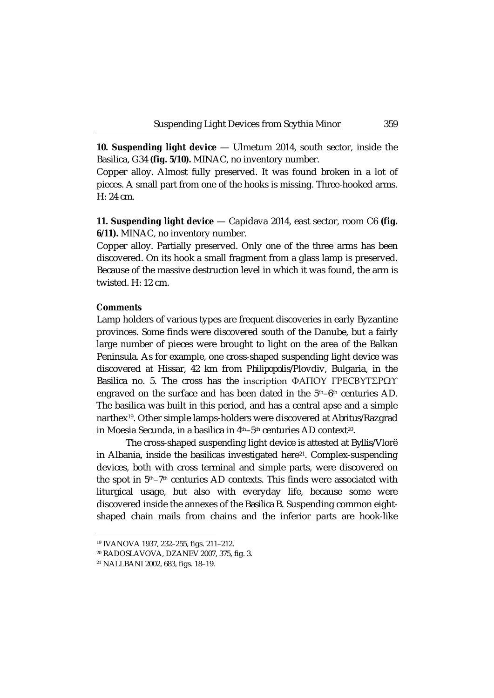10. Suspending light device  $-$  Ulmetum 2014, south sector, inside the Basilica, G34 **(fig. 5/10).** MINAC, no inventory number.

Copper alloy. Almost fully preserved. It was found broken in a lot of pieces. A small part from one of the hooks is missing. Three-hooked arms.  $H: 24 \text{ cm}$ 

**11. Suspending light device** — Capidava 2014, east sector, room C6 **(fig. 6/11).** MINAC, no inventory number.

Copper alloy. Partially preserved. Only one of the three arms has been discovered. On its hook a small fragment from a glass lamp is preserved. Because of the massive destruction level in which it was found, the arm is twisted. H: 12 cm.

## **Comments**

Lamp holders of various types are frequent discoveries in early Byzantine provinces. Some finds were discovered south of the Danube, but a fairly large number of pieces were brought to light on the area of the Balkan Peninsula. As for example, one cross-shaped suspending light device was discovered at Hissar, 42 km from *Philipopolis*/Plovdiv, Bulgaria, in the Basilica no. 5. The cross has the inscription ΦAΠOY ΓΡΕCBYTΣΡΩΥ engraved on the surface and has been dated in the  $5<sup>th</sup>$ –6<sup>th</sup> centuries AD. The basilica was built in this period, and has a central apse and a simple narthex[19](#page-6-0). Other simple lamps-holders were discovered at *Abritus*/Razgrad in Moesia Secunda, in a basilica in 4<sup>th</sup>-5<sup>th</sup> centuries AD context<sup>[20](#page-6-1)</sup>.

The cross-shaped suspending light device is attested at *Byllis*/Vlorë in Albania, inside the basilicas investigated here<sup>[21](#page-6-2)</sup>. Complex-suspending devices, both with cross terminal and simple parts, were discovered on the spot in 5<sup>th</sup>–7<sup>th</sup> centuries AD contexts. This finds were associated with liturgical usage, but also with everyday life, because some were discovered inside the annexes of the *Basilica B*. Suspending common eightshaped chain mails from chains and the inferior parts are hook-like

<sup>19</sup> IVANOVA 1937, 232–255, figs. 211–212.

<span id="page-6-0"></span><sup>20</sup> RADOSLAVOVA, DZANEV 2007, 375, fig. 3.

<span id="page-6-2"></span><span id="page-6-1"></span><sup>21</sup> NALLBANI 2002, 683, figs. 18–19.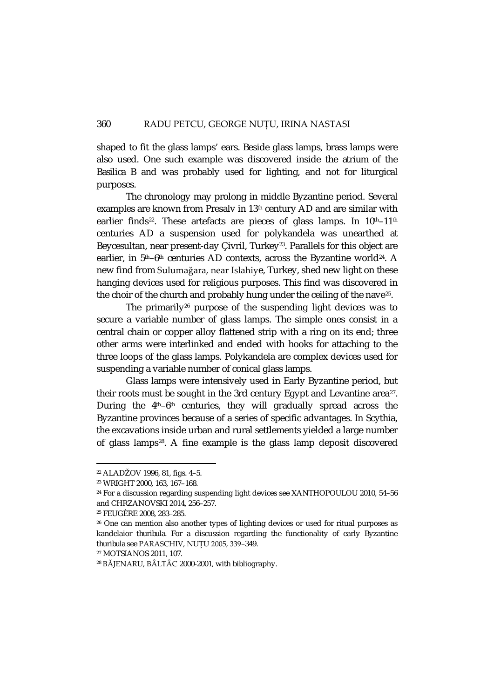shaped to fit the glass lamps' ears. Beside glass lamps, brass lamps were also used. One such example was discovered inside the *atrium* of the *Basilica B* and was probably used for lighting, and not for liturgical purposes.

The chronology may prolong in middle Byzantine period. Several examples are known from Presalv in 13<sup>th</sup> century AD and are similar with earlier finds<sup>22</sup>. These artefacts are pieces of glass lamps. In  $10^{th}$ -11<sup>th</sup> centuries AD a suspension used for polykandela was unearthed at Beycesultan, near present-day Çivril, Turkey<sup>[23](#page-7-1)</sup>. Parallels for this object are earlier, in  $5<sup>th</sup>$ -6<sup>th</sup> centuries AD contexts, across the Byzantine world<sup>[24](#page-7-2)</sup>. A new find from Sulumağara, near Islahiye, Turkey, shed new light on these hanging devices used for religious purposes. This find was discovered in the choir of the church and probably hung under the ceiling of the nave<sup>[25](#page-7-3)</sup>.

The primarily<sup>[26](#page-7-4)</sup> purpose of the suspending light devices was to secure a variable number of glass lamps. The simple ones consist in a central chain or copper alloy flattened strip with a ring on its end; three other arms were interlinked and ended with hooks for attaching to the three loops of the glass lamps. Polykandela are complex devices used for suspending a variable number of conical glass lamps.

Glass lamps were intensively used in Early Byzantine period, but their roots must be sought in the 3rd century Egypt and Levantine area<sup>[27](#page-7-5)</sup>. During the  $4<sup>th</sup>-6<sup>th</sup>$  centuries, they will gradually spread across the Byzantine provinces because of a series of specific advantages. In Scythia, the excavations inside urban and rural settlements yielded a large number of glass lamps[28.](#page-7-6) A fine example is the glass lamp deposit discovered

**.** 

<span id="page-7-0"></span><sup>22</sup> ALADŽOV 1996, 81, figs. 4–5.

<span id="page-7-1"></span><sup>23</sup> WRIGHT 2000, 163, 167–168.

<span id="page-7-2"></span><sup>&</sup>lt;sup>24</sup> For a discussion regarding suspending light devices see XANTHOPOULOU 2010, 54-56 and CHRZANOVSKI 2014, 256–257.

<span id="page-7-4"></span><span id="page-7-3"></span><sup>25</sup> FEUGÈRE 2008, 283–285.

<sup>&</sup>lt;sup>26</sup> One can mention also another types of lighting devices or used for ritual purposes as kandelaior *thuribula*. For a discussion regarding the functionality of early Byzantine *thuribula* see PARASCHIV, NUȚU 2005, 339–349.

<span id="page-7-5"></span><sup>27</sup> MOTSIANOS 2011, 107.

<span id="page-7-6"></span><sup>28</sup> BĂJENARU, BÂLTÂC 2000-2001, with bibliography.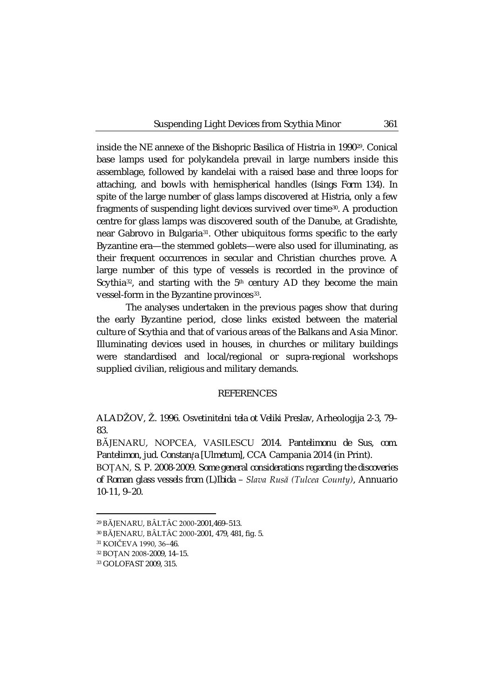inside the NE annexe of the Bishopric Basilica of Histria in 1990[29](#page-8-0). Conical base lamps used for polykandela prevail in large numbers inside this assemblage, followed by kandelai with a raised base and three loops for attaching, and bowls with hemispherical handles (*Isings Form 134*). In spite of the large number of glass lamps discovered at Histria, only a few fragments of suspending light devices survived over time[30.](#page-8-1) A production centre for glass lamps was discovered south of the Danube, at Gradishte, near Gabrovo in Bulgaria[31](#page-8-2). Other ubiquitous forms specific to the early Byzantine era—the stemmed goblets—were also used for illuminating, as their frequent occurrences in secular and Christian churches prove. A large number of this type of vessels is recorded in the province of Scythia<sup>32</sup>, and starting with the  $5<sup>th</sup>$  century AD they become the main vessel-form in the Byzantine provinces<sup>[33](#page-8-4)</sup>.

The analyses undertaken in the previous pages show that during the early Byzantine period, close links existed between the material culture of Scythia and that of various areas of the Balkans and Asia Minor. Illuminating devices used in houses, in churches or military buildings were standardised and local/regional or supra-regional workshops supplied civilian, religious and military demands.

### REFERENCES

ALADŽOV, Ž. 1996. *Osvetinitelni tela ot Veliki Preslav*, Arheologija 2-3, 79– 83.

BĂJENARU, NOPCEA, VASILESCU 2014. *Pantelimonu de Sus, com. Pantelimon, jud. Constanța [Ulmetum]*, CCA Campania 2014 (in Print).

BOȚAN, S. P. 2008-2009. *Some general considerations regarding the discoveries of Roman glass vessels from (L)Ibida – Slava Rusă (Tulcea County)*, Annuario 10-11, 9–20.

<span id="page-8-1"></span><span id="page-8-0"></span><sup>29</sup> BĂJENARU, BÂLTÂC 2000-2001,469–513.

<sup>30</sup> BĂJENARU, BÂLTÂC 2000-2001, 479, 481, fig. 5.

<span id="page-8-2"></span><sup>31</sup> KOIČEVA 1990, 36–46.

<span id="page-8-3"></span><sup>32</sup> BOȚAN 2008-2009, 14–15.

<span id="page-8-4"></span><sup>33</sup> GOLOFAST 2009, 315.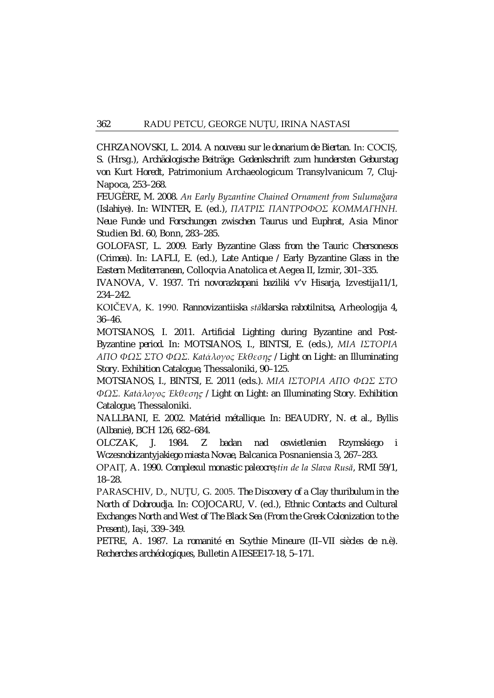CHRZANOVSKI, L. 2014. *A nouveau sur le donarium de Biertan*. In: COCIȘ, S. (Hrsg.), *Archäologische Beiträge. Gedenkschrift zum hundersten Geburstag von Kurt Horedt*, Patrimonium Archaeologicum Transylvanicum 7, Cluj-Napoca, 253–268.

FEUGÈRE, M. 2008. *An Early Byzantine Chained Ornament from Sulumağara (Islahiye)*. In: WINTER, E. (ed.), *ΠATPIΣ ΠANTPOΦOΣ KOMMAΓHNH. Neue Funde und Forschungen zwischen Taurus und Euphrat*, Asia Minor Studien Bd. 60, Bonn, 283–285.

GOLOFAST, L. 2009. *Early Byzantine Glass from the Tauric Chersonesos (Crimea)*. In: LAFLI, E. (ed.), *Late Antique / Early Byzantine Glass in the Eastern Mediterranean*, Colloqvia Anatolica et Aegea II, Izmir, 301–335.

IVANOVA, V. 1937. *Tri novorazkopani baziliki v'v Hisarja*, Izvestija11/1, 234–242.

KOIČEVA, K. 1990. *Rannovizantiiska stăklarska rabotilnitsa*, Arheologija 4, 36–46.

MOTSIANOS, I. 2011. *Artificial Lighting during Byzantine and Post-Byzantine period*. In: MOTSIANOS, I., BINTSI, E. (eds.), *MIA IΣTOPIA AΠO ΦΩΣ ΣTO ΦΩΣ. Katάλoγoς Έkθεσηϛ / Light on Light: an Illuminating Story. Exhibition Catalogue*, Thessaloniki, 90–125.

MOTSIANOS, I., BINTSI, E. 2011 (eds.). *MIA IΣTOPIA AΠO ΦΩΣ ΣTO ΦΩΣ. Katάλoγoς Έkθεσηϛ / Light on Light: an Illuminating Story. Exhibition Catalogue*, Thessaloniki.

NALLBANI, E. 2002. *Matériel métallique*. In: BEAUDRY, N. *et al.*, *Byllis (Albanie)*, BCH 126, 682–684.

OLCZAK, J. 1984. *Z badan nad oswietlenien Rzymskiego i Wczesnobizantyjakiego miasta Novae*, Balcanica Posnaniensia 3, 267–283.

OPAIȚ, A. 1990. *Complexul monastic paleocreștin de la Slava Rusă*, RMI 59/1, 18–28.

PARASCHIV, D., NUŢU, G. 2005. *The Discovery of a Clay thuribulum in the North of Dobroudja*. In: COJOCARU, V. (ed.), *Ethnic Contacts and Cultural Exchanges North and West of The Black Sea (From the Greek Colonization to the Present)*, Iași, 339–349.

PETRE, A. 1987. *La romanité en Scythie Mineure (II–VII siècles de n.è). Recherches archéologiques*, Bulletin AIESEE17-18, 5–171.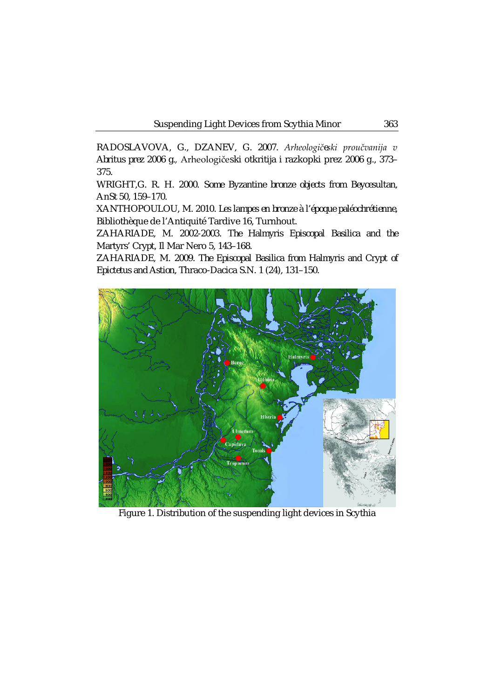RADOSLAVOVA, G., DZANEV, G. 2007. *Arheologičeski proučvanija v Abritus prez 2006 g.*, Arheologičeski otkritija i razkopki prez 2006 g., 373– 375.

WRIGHT,G. R. H. 2000. *Some Byzantine bronze objects from Beycesultan*, AnSt 50, 159–170.

XANTHOPOULOU, M. 2010. *Les lampes en bronze à l'époque paléochrétienne*, Bibliothèque de l'Antiquité Tardive 16, Turnhout.

ZAHARIADE, M. 2002-2003. *The Halmyris Episcopal Basilica and the Martyrs' Crypt*, Il Mar Nero 5, 143–168.

ZAHARIADE, M. 2009. *The Episcopal Basilica from Halmyris and Crypt of Epictetus and Astion*, Thraco-Dacica S.N. 1 (24), 131–150.



Figure 1. Distribution of the suspending light devices in Scythia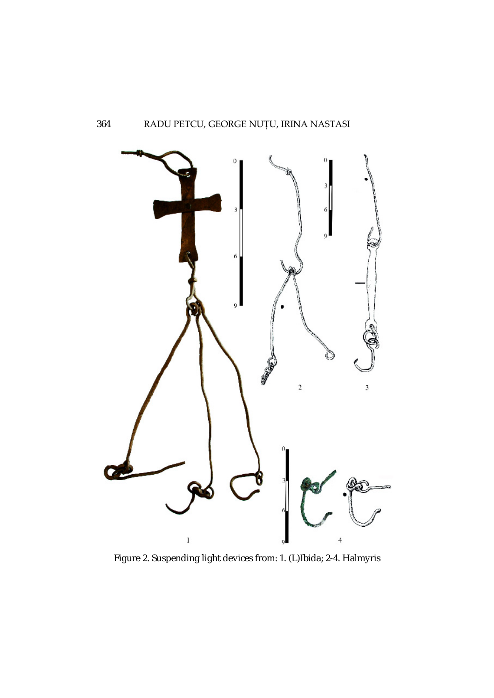

Figure 2. Suspending light devices from: 1. (L)Ibida; 2-4. Halmyris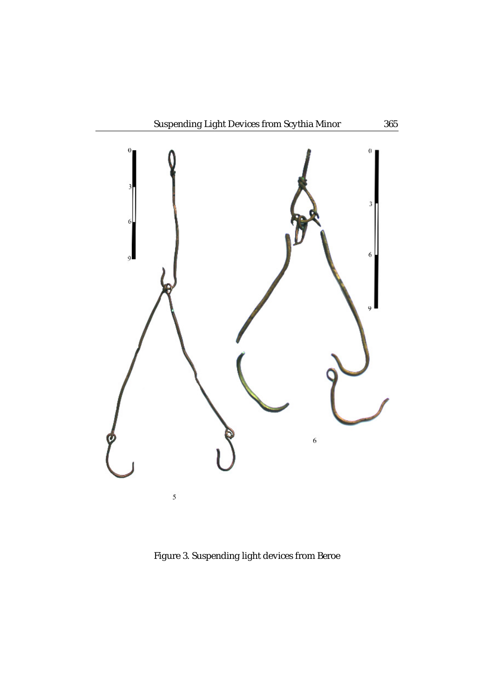

Figure 3. Suspending light devices from Beroe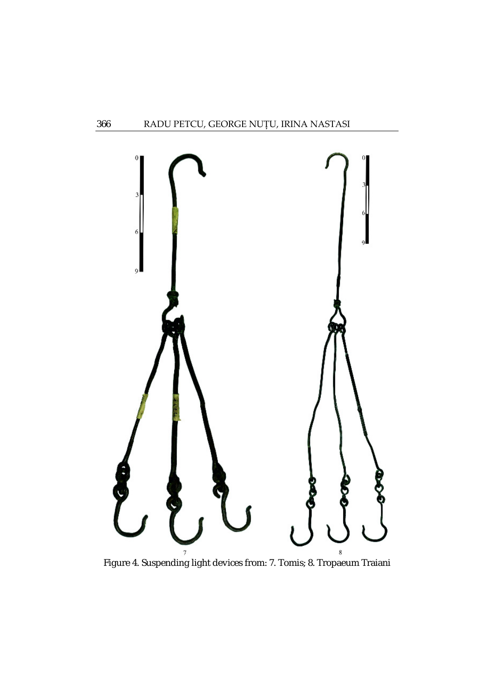

Figure 4. Suspending light devices from: 7. Tomis; 8. Tropaeum Traiani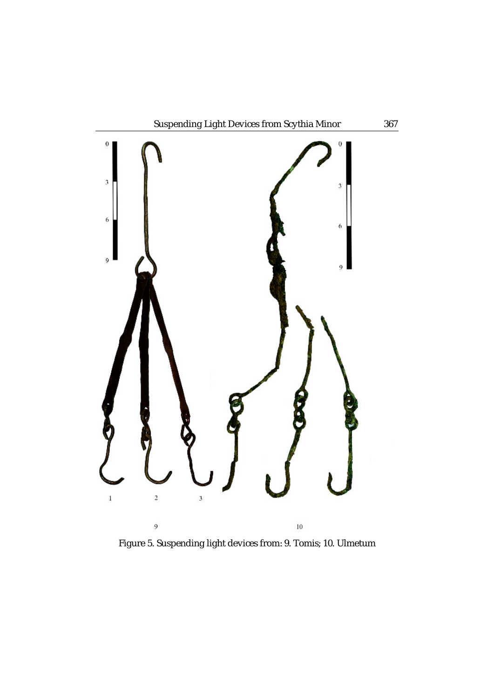

Figure 5. Suspending light devices from: 9. Tomis; 10. Ulmetum